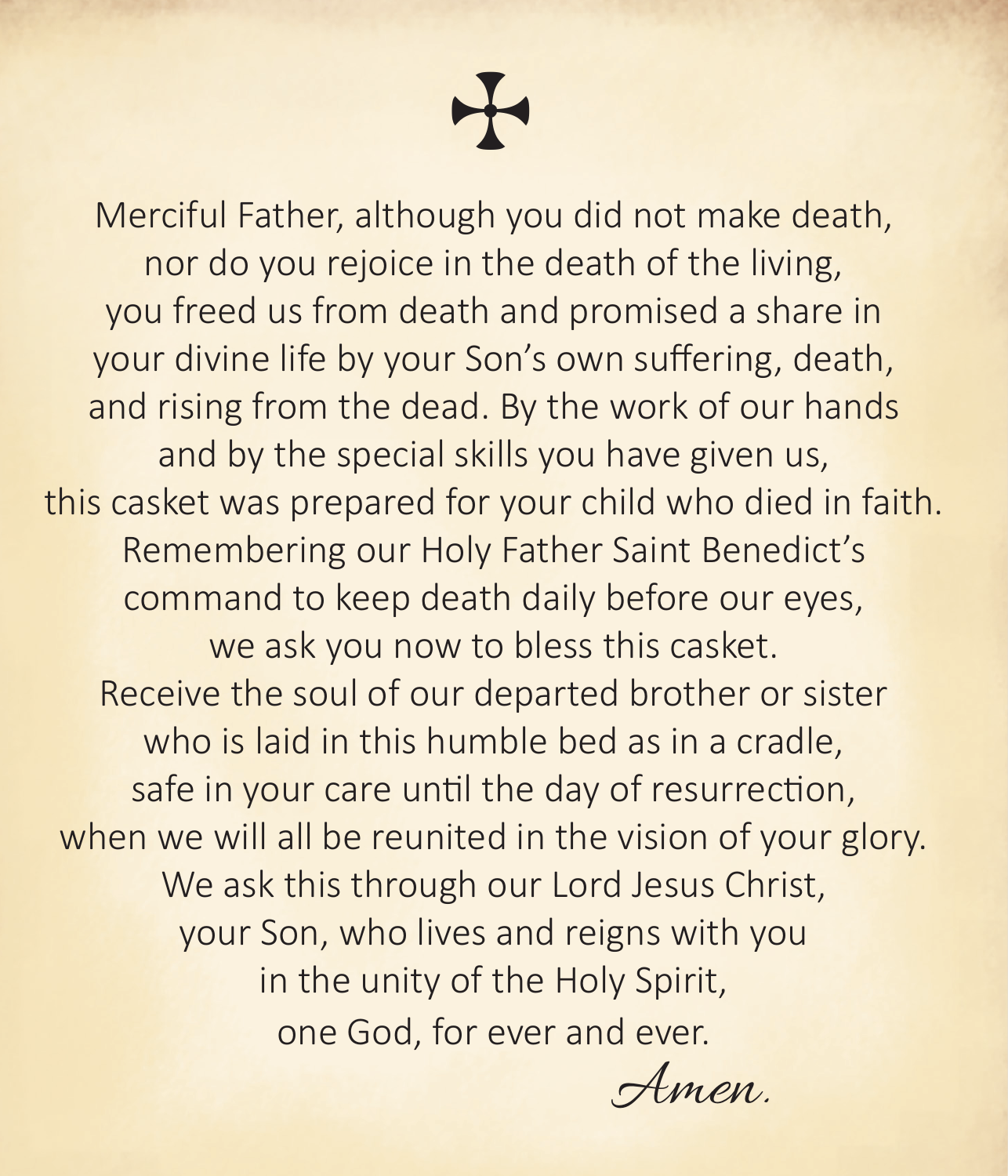## +

Merciful Father, although you did not make death, nor do you rejoice in the death of the living, you freed us from death and promised a share in your divine life by your Son's own suffering, death, and rising from the dead. By the work of our hands and by the special skills you have given us, this casket was prepared for your child who died in faith. Remembering our Holy Father Saint Benedict's command to keep death daily before our eyes, we ask you now to bless this casket. Receive the soul of our departed brother or sister who is laid in this humble bed as in a cradle, safe in your care until the day of resurrection, when we will all be reunited in the vision of your glory. We ask this through our Lord Jesus Christ, your Son, who lives and reigns with you in the unity of the Holy Spirit, one God, for ever and ever.

Amen.